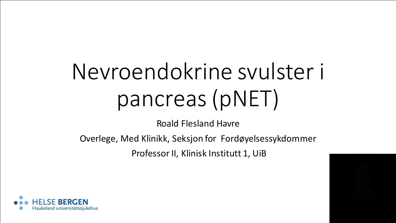# Nevroendokrine svulster i pancreas(pNET)

Roald Flesland Havre

Overlege, Med Klinikk, Seksjon for Fordøyelsessykdommer

Professor II, Klinisk Institutt 1, UiB

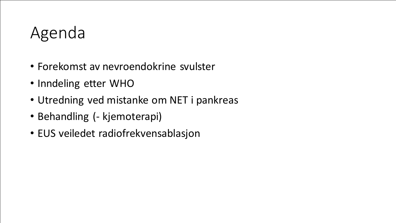### Agenda

- Forekomst av nevroendokrine svulster
- Inndeling etter WHO
- Utredning ved mistanke om NET i pankreas
- Behandling (- kjemoterapi)
- EUS veiledet radiofrekvensablasjon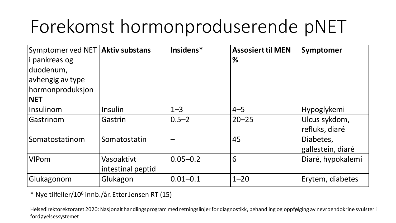# Forekomst hormonproduserende pNET

| Symptomer ved NET   Aktiv substans<br><i>i</i> pankreas og<br>duodenum,<br>avhengig av type<br>hormonproduksjon<br><b>NET</b> |                                 | Insidens*      | <b>Assosiert til MEN</b><br>% | Symptomer                       |
|-------------------------------------------------------------------------------------------------------------------------------|---------------------------------|----------------|-------------------------------|---------------------------------|
| Insulinom                                                                                                                     | <b>Insulin</b>                  | $1 - 3$        | $4 - 5$                       | Hypoglykemi                     |
| Gastrinom                                                                                                                     | Gastrin                         | $ 0.5 - 2 $    | $20 - 25$                     | Ulcus sykdom,<br>refluks, diaré |
| Somatostatinom                                                                                                                | Somatostatin                    |                | 45                            | Diabetes,<br>gallestein, diaré  |
| <b>VIPom</b>                                                                                                                  | Vasoaktivt<br>intestinal peptid | $ 0.05 - 0.2 $ | 6                             | Diaré, hypokalemi               |
| Glukagonom                                                                                                                    | Glukagon                        | 0.01–0.1       | $1 - 20$                      | Erytem, diabetes                |

\* Nye tilfeller/10<sup>6</sup> innb./år. Etter Jensen RT (15)

Helsedirektorektoratet 2020: Nasjonalt handlingsprogram med retningslinjer for diagnostikk, behandling og oppfølging av nevroendokrine svulster i fordøyelsessystemet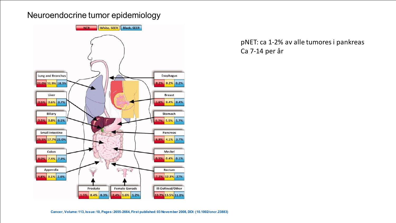#### Neuroendocrine tumor epidemiology



pNET: ca 1-2% av alle tumores i pankreas Ca 7-14 per år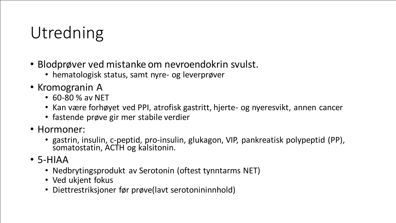# Utredning

- Blodprøver ved mistanke om nevroendokrin svulst.
	- hematologisk status, samt nyre- og leverprøver
- Kromogranin A
	- 60-80 % av NET
	- Kan være forhøyet ved PPI, atrofisk gastritt, hjerte- og nyeresvikt, annen cancer
	- fastende prøve gir mer stabile verdier
- Hormoner:
	- gastrin, insulin, c-peptid, pro-insulin, glukagon, VIP, pankreatisk polypeptid (PP), somatostatin, ACTH og kalsitonin.
- 5-HIAA
	- Nedbrytingsprodukt av Serotonin (oftest tynntarms NET)
	- Ved ukjent fokus
	- Diettrestriksjoner før prøve(lavt serotonininnhold)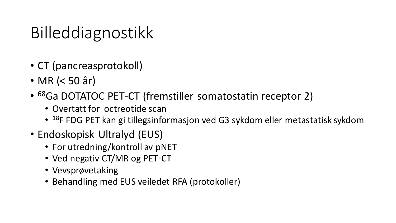# Billeddiagnostikk

- CT (pancreasprotokoll)
- MR (< 50 år)
- <sup>68</sup>Ga DOTATOC PET-CT (fremstiller somatostatin receptor 2)
	- Overtatt for octreotide scan
	- <sup>18</sup>F FDG PET kan gi tillegsinformasjon ved G3 sykdom eller metastatisk sykdom
- Endoskopisk Ultralyd (EUS)
	- For utredning/kontroll av pNET
	- Ved negativ CT/MR og PET-CT
	- Vevsprøvetaking
	- Behandling med EUS veiledet RFA (protokoller)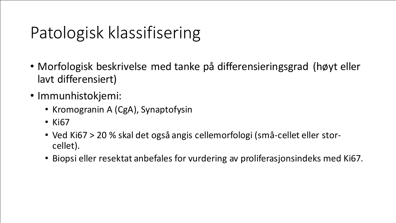# Patologisk klassifisering

- Morfologisk beskrivelse med tanke på differensieringsgrad (høyt eller lavt differensiert)
- Immunhistokjemi:
	- Kromogranin A (CgA), Synaptofysin
	- Ki67
	- Ved Ki67 > 20 % skal det også angis cellemorfologi (små-cellet eller storcellet).
	- Biopsi eller resektat anbefales for vurdering av proliferasjonsindeks med Ki67.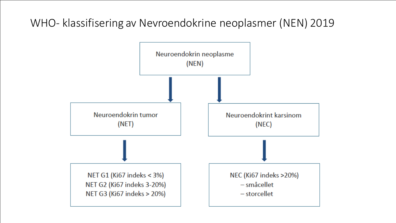### WHO- klassifisering av Nevroendokrine neoplasmer (NEN) 2019

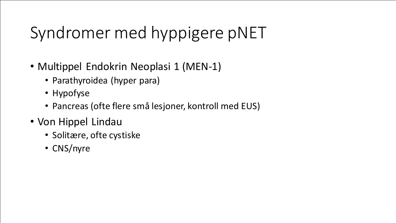# Syndromer med hyppigere pNET

- Multippel Endokrin Neoplasi 1 (MEN-1)
	- Parathyroidea (hyper para)
	- Hypofyse
	- Pancreas (ofte flere små lesjoner, kontroll med EUS)
- Von Hippel Lindau
	- Solitære, ofte cystiske
	- CNS/nyre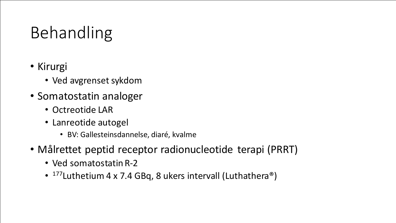# Behandling

- Kirurgi
	- Ved avgrenset sykdom
- Somatostatin analoger
	- Octreotide LAR
	- Lanreotide autogel
		- BV: Gallesteinsdannelse, diaré, kvalme
- Målrettet peptid receptor radionucleotide terapi (PRRT)
	- Ved somatostatin R-2
	- <sup>177</sup>Luthetium 4 x 7.4 GBq, 8 ukers intervall (Luthathera<sup>®</sup>)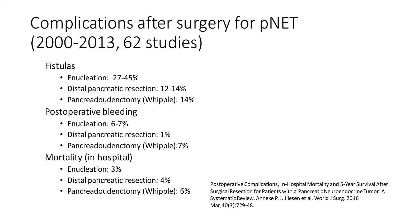# Complications after surgery for pNET (2000-2013, 62 studies)

Fistulas

- Enucleation: 27-45%
- Distal pancreatic resection: 12-14%
- Pancreadoudenctomy (Whipple): 14%

### Postoperative bleeding

- Enucleation: 6-7%
- Distal pancreatic resection: 1%
- Pancreadoudenctomy (Whipple):7%

### Mortality (in hospital)

- Enucleation: 3%
- Distal pancreatic resection: 4%
- Pancreadoudenctomy (Whipple): 6%

Postoperative Complications, In-Hospital Mortality and 5-Year SurvivalAfter Surgical Resection for Patients with a Pancreatic Neuroendocrine Tumor: A Systematic Review. Anneke P. J. Jilesen et al. World J Surg. 2016 Mar;40(3):729-48.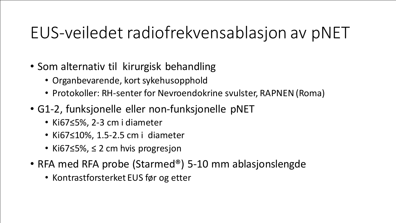# EUS-veiledet radiofrekvensablasjon av pNET

- Som alternativ til kirurgisk behandling
	- Organbevarende, kort sykehusopphold
	- Protokoller: RH-senter for Nevroendokrine svulster, RAPNEN (Roma)
- G1-2, funksjonelle eller non-funksjonelle pNET
	- Ki67≤5%, 2-3 cm i diameter
	- Ki67≤10%, 1.5-2.5 cm i diameter
	- Ki67≤5%, ≤ 2 cm hvis progresjon
- RFA med RFA probe (Starmed®) 5-10 mm ablasjonslengde
	- Kontrastforsterket EUS før og etter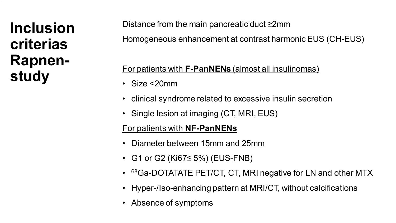### **Inclusion criterias Rapnenstudy**

Distance from the main pancreatic duct ≥2mm

Homogeneous enhancement at contrast harmonic EUS (CH-EUS)

#### For patients with **F-PanNENs** (almost all insulinomas)

- Size <20mm
- clinical syndrome related to excessive insulin secretion
- Single lesion at imaging (CT, MRI, EUS)

#### For patients with **NF-PanNENs**

- Diameter between 15mm and 25mm
- G1 or G2 (Ki67≤ 5%) (EUS-FNB)
- 68Ga-DOTATATE PET/CT, CT, MRI negative for LN and other MTX
- Hyper-/Iso-enhancing pattern at MRI/CT, without calcifications
- Absence of symptoms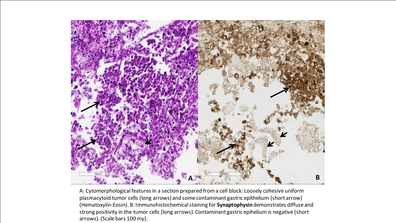

A: Cytomorphological features in a section prepared from a cell block: Loosely cohesive uniform plasmacytoid tumor cells (long arrows) and some contaminant gastric epithelium (short arrow) (Hematoxylin-Eosin). B: Immunohistochemicalstaining for **Synaptophysin** demonstrates diffuse and strong positivity in the tumor cells (long arrows). Contaminant gastric epihelium is negative (short arrows). (Scale bars 100 my).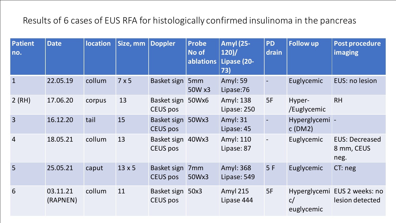### Results of 6 cases of EUS RFA for histologically confirmed insulinoma in the pancreas

| <b>Patient</b><br>no. | <b>Date</b>          | <b>location</b> | Size, mm      | <b>Doppler</b>                       | <b>Probe</b><br>No of<br>ablations | <b>Amyl</b> (25-<br>120<br>Lipase (20-<br>73) | <b>PD</b><br>drain       | <b>Follow up</b>         | <b>Post procedure</b><br>imaging                |
|-----------------------|----------------------|-----------------|---------------|--------------------------------------|------------------------------------|-----------------------------------------------|--------------------------|--------------------------|-------------------------------------------------|
| $\overline{1}$        | 22.05.19             | collum          | 7x5           | Basket sign 5mm                      | 50W x3                             | <b>Amyl: 59</b><br>Lipase:76                  |                          | Euglycemic               | EUS: no lesion                                  |
| 2(RH)                 | 17.06.20             | corpus          | 13            | Basket sign 50Wx6<br>CEUS pos        |                                    | Amyl: 138<br>Lipase: 250                      | 5F                       | Hyper-<br>/Euglycemic    | <b>RH</b>                                       |
| $\overline{3}$        | 16.12.20             | tail            | 15            | Basket sign 50Wx3<br><b>CEUS pos</b> |                                    | Amyl: 31<br>Lipase: 45                        | $\blacksquare$           | Hyperglycemi -<br>C(DM2) |                                                 |
| $\overline{4}$        | 18.05.21             | collum          | 13            | Basket sign 40Wx3<br>CEUS pos        |                                    | Amyl: 110<br>Lipase: 87                       | $\overline{\phantom{a}}$ | Euglycemic               | <b>EUS: Decreased</b><br>8 mm, CEUS<br>neg.     |
| 5                     | 25.05.21             | caput           | $13 \times 5$ | Basket sign<br>CEUS pos              | 7 <sub>mm</sub><br>50Wx3           | Amyl: 368<br>Lipase: 549                      | 5F                       | Euglycemic               | CT: neg                                         |
| 6                     | 03.11.21<br>(RAPNEN) | collum          | 11            | Basket sign 50x3<br>CEUS pos         |                                    | <b>Amyl 215</b><br>Lipase 444                 | 5F                       | C/<br>euglycemic         | Hyperglycemi EUS 2 weeks: no<br>lesion detected |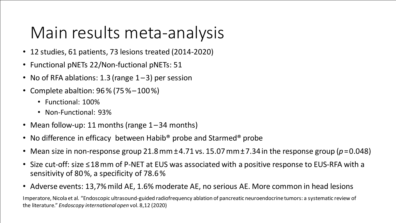### Main results meta-analysis

- 12 studies, 61 patients, 73 lesions treated (2014-2020)
- Functional pNETs 22/Non-fuctional pNETs: 51
- No of RFA ablations: 1.3 (range  $1-3$ ) per session
- Complete abaltion: 96 % (75 % – 100 %)
	- Functional: 100%
	- Non-Functional: 93%
- Mean follow-up: 11 months (range 1–34 months)
- No difference in efficacy between Habib<sup>®</sup> probe and Starmed<sup>®</sup> probe
- Mean size in non-response group 21.8 $mm \pm 4.71$  vs. 15.07 $mm \pm 7.34$  in the response group ( $p = 0.048$ )
- Size cut-off: size ≤ 18 mm of P-NET at EUS was associated with a positive response to EUS-RFA with a sensitivity of 80 %, a specificity of 78.6 %
- Adverse events: 13,7% mild AE, 1.6% moderate AE, no serious AE. More common in head lesions

Imperatore, Nicola et al. "Endoscopic ultrasound-guided radiofrequency ablation of pancreatic neuroendocrine tumors: a systematic review of the literature." *Endoscopy international open* vol. 8,12 (2020)